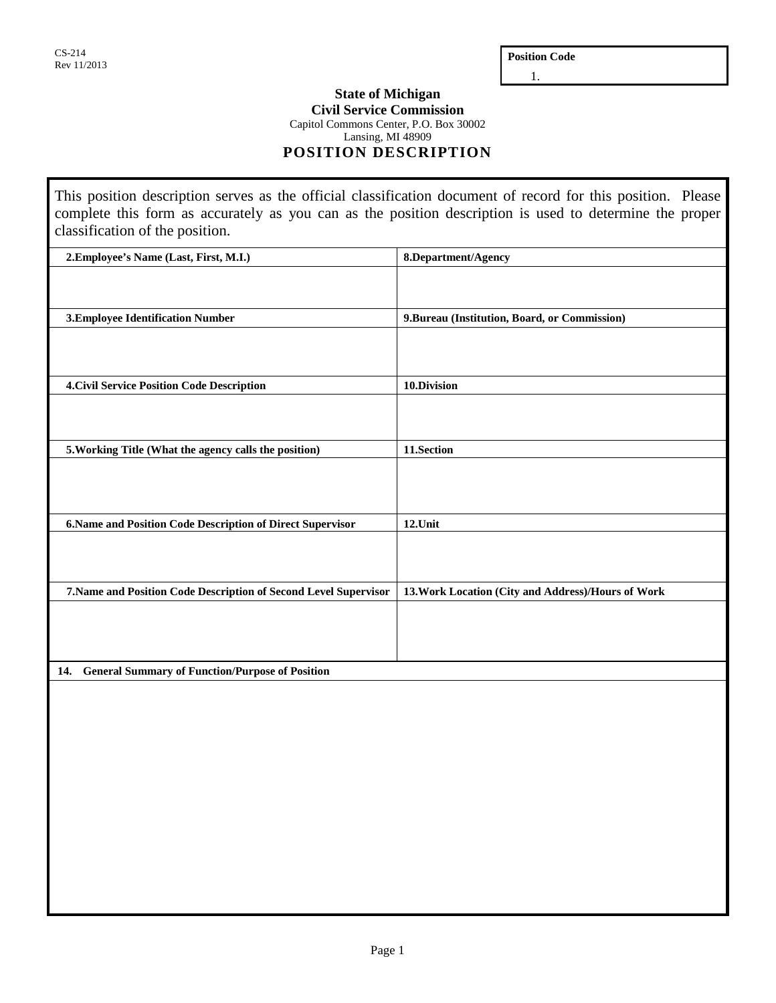**Position Code**

1.

## **State of Michigan Civil Service Commission**

Capitol Commons Center, P.O. Box 30002

Lansing, MI 48909

**POSITION DESCRIPTION**

This position description serves as the official classification document of record for this position. Please complete this form as accurately as you can as the position description is used to determine the proper classification of the position.

| 2. Employee's Name (Last, First, M.I.)                           | 8.Department/Agency                                |
|------------------------------------------------------------------|----------------------------------------------------|
|                                                                  |                                                    |
|                                                                  |                                                    |
|                                                                  |                                                    |
| 3. Employee Identification Number                                | 9. Bureau (Institution, Board, or Commission)      |
|                                                                  |                                                    |
|                                                                  |                                                    |
|                                                                  |                                                    |
| <b>4. Civil Service Position Code Description</b>                | 10.Division                                        |
|                                                                  |                                                    |
|                                                                  |                                                    |
|                                                                  |                                                    |
| 5. Working Title (What the agency calls the position)            | 11.Section                                         |
|                                                                  |                                                    |
|                                                                  |                                                    |
|                                                                  |                                                    |
|                                                                  |                                                    |
| 6. Name and Position Code Description of Direct Supervisor       | 12.Unit                                            |
|                                                                  |                                                    |
|                                                                  |                                                    |
|                                                                  |                                                    |
| 7. Name and Position Code Description of Second Level Supervisor | 13. Work Location (City and Address)/Hours of Work |
|                                                                  |                                                    |
|                                                                  |                                                    |
|                                                                  |                                                    |
|                                                                  |                                                    |
| <b>General Summary of Function/Purpose of Position</b><br>14.    |                                                    |
|                                                                  |                                                    |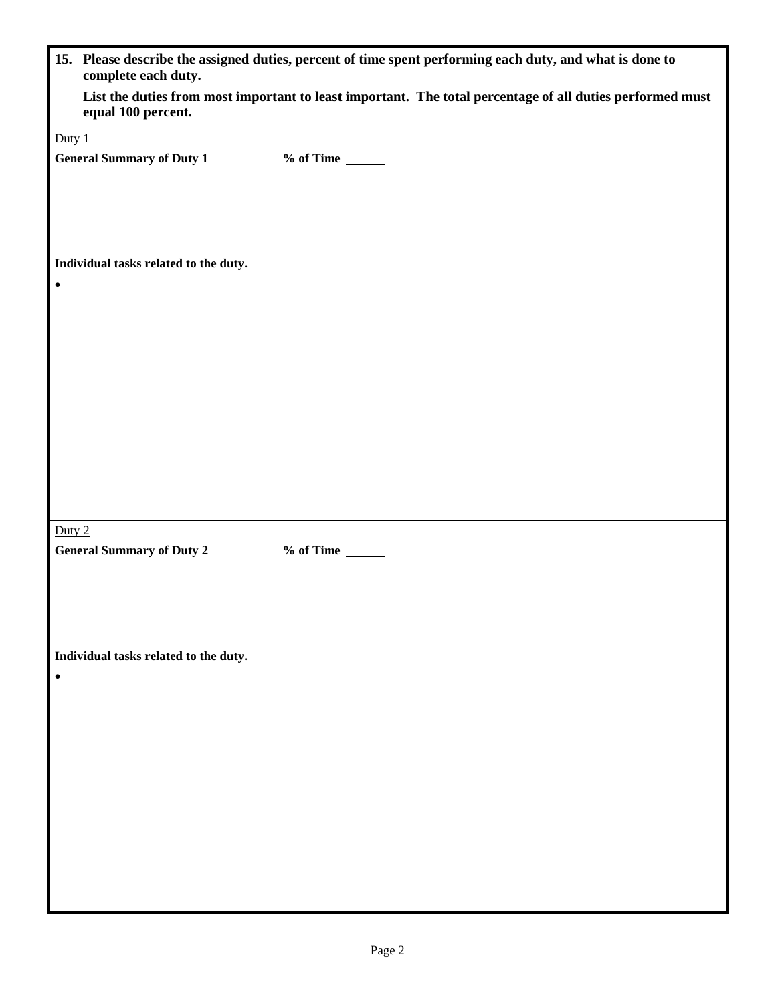|           | 15. Please describe the assigned duties, percent of time spent performing each duty, and what is done to<br>complete each duty. |                                   |  |
|-----------|---------------------------------------------------------------------------------------------------------------------------------|-----------------------------------|--|
|           | List the duties from most important to least important. The total percentage of all duties performed must<br>equal 100 percent. |                                   |  |
| Duty $1$  |                                                                                                                                 |                                   |  |
|           | <b>General Summary of Duty 1</b>                                                                                                | $%$ of Time $\_\_\_\_\_\_\_\_\_\$ |  |
|           |                                                                                                                                 |                                   |  |
|           | Individual tasks related to the duty.                                                                                           |                                   |  |
| $\bullet$ |                                                                                                                                 |                                   |  |
|           |                                                                                                                                 |                                   |  |
|           |                                                                                                                                 |                                   |  |
| Duty 2    | <b>General Summary of Duty 2</b>                                                                                                | $%$ of Time $\_\_\_\_\_\_\_\_\$   |  |
|           |                                                                                                                                 |                                   |  |
|           | Individual tasks related to the duty.                                                                                           |                                   |  |
|           |                                                                                                                                 |                                   |  |
|           |                                                                                                                                 |                                   |  |
|           |                                                                                                                                 |                                   |  |
|           |                                                                                                                                 |                                   |  |
|           |                                                                                                                                 |                                   |  |
|           |                                                                                                                                 |                                   |  |
|           |                                                                                                                                 |                                   |  |
|           |                                                                                                                                 |                                   |  |
|           |                                                                                                                                 |                                   |  |
|           |                                                                                                                                 |                                   |  |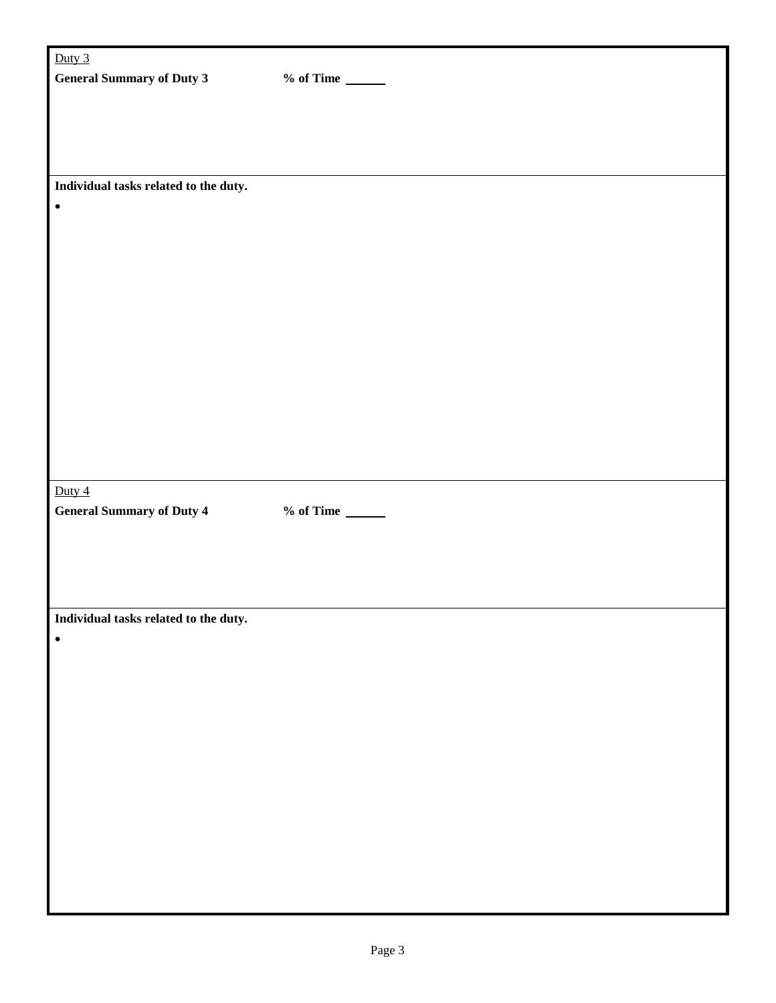| Duty $3$                              |                                   |
|---------------------------------------|-----------------------------------|
| <b>General Summary of Duty 3</b>      | $%$ of Time $\_\_\_\_\_\_\_\_\$   |
|                                       |                                   |
|                                       |                                   |
|                                       |                                   |
|                                       |                                   |
| Individual tasks related to the duty. |                                   |
| $\bullet$                             |                                   |
|                                       |                                   |
|                                       |                                   |
|                                       |                                   |
|                                       |                                   |
|                                       |                                   |
|                                       |                                   |
|                                       |                                   |
|                                       |                                   |
|                                       |                                   |
|                                       |                                   |
|                                       |                                   |
|                                       |                                   |
|                                       |                                   |
|                                       |                                   |
| Duty $4$                              |                                   |
| <b>General Summary of Duty 4</b>      | $%$ of Time $\_\_\_\_\_\_\_\_\_\$ |
|                                       |                                   |
|                                       |                                   |
|                                       |                                   |
|                                       |                                   |
| Individual tasks related to the duty. |                                   |
| $\bullet$                             |                                   |
|                                       |                                   |
|                                       |                                   |
|                                       |                                   |
|                                       |                                   |
|                                       |                                   |
|                                       |                                   |
|                                       |                                   |
|                                       |                                   |
|                                       |                                   |
|                                       |                                   |
|                                       |                                   |
|                                       |                                   |
|                                       |                                   |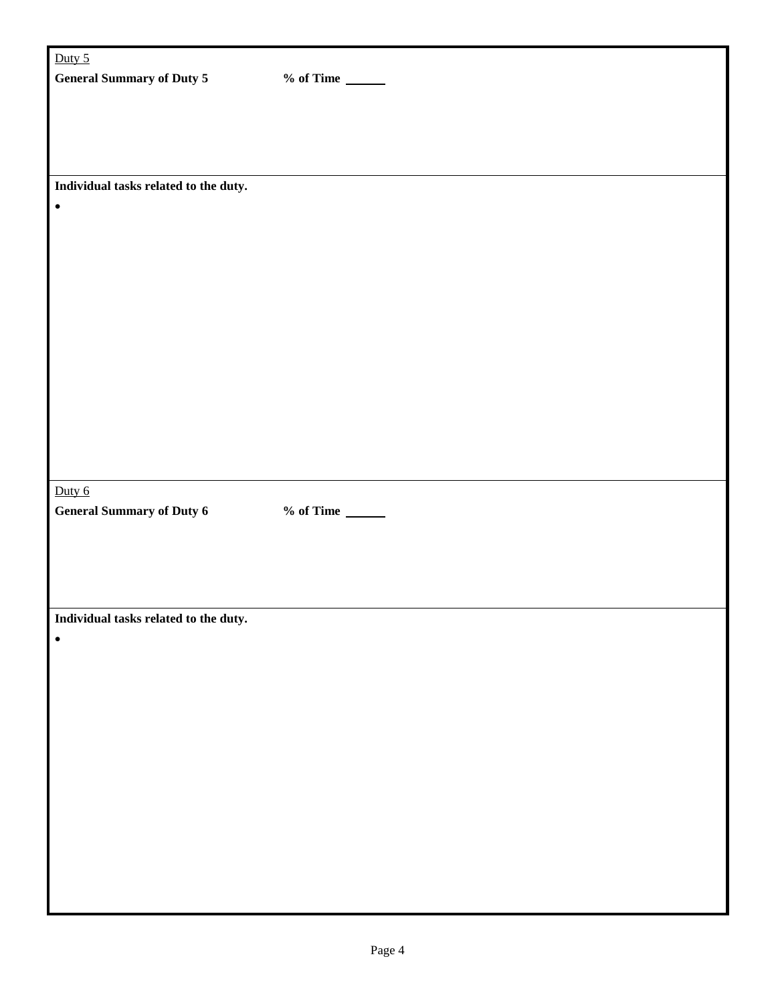| Duty $5$                              |                                   |
|---------------------------------------|-----------------------------------|
| <b>General Summary of Duty 5</b>      | $%$ of Time $\_\_\_\_\_\_\_\_\$   |
|                                       |                                   |
|                                       |                                   |
|                                       |                                   |
|                                       |                                   |
| Individual tasks related to the duty. |                                   |
| $\bullet$                             |                                   |
|                                       |                                   |
|                                       |                                   |
|                                       |                                   |
|                                       |                                   |
|                                       |                                   |
|                                       |                                   |
|                                       |                                   |
|                                       |                                   |
|                                       |                                   |
|                                       |                                   |
|                                       |                                   |
|                                       |                                   |
| Duty $6$                              |                                   |
| <b>General Summary of Duty 6</b>      | $%$ of Time $\_\_\_\_\_\_\_\_\_\$ |
|                                       |                                   |
|                                       |                                   |
|                                       |                                   |
|                                       |                                   |
| Individual tasks related to the duty. |                                   |
| $\bullet$                             |                                   |
|                                       |                                   |
|                                       |                                   |
|                                       |                                   |
|                                       |                                   |
|                                       |                                   |
|                                       |                                   |
|                                       |                                   |
|                                       |                                   |
|                                       |                                   |
|                                       |                                   |
|                                       |                                   |
|                                       |                                   |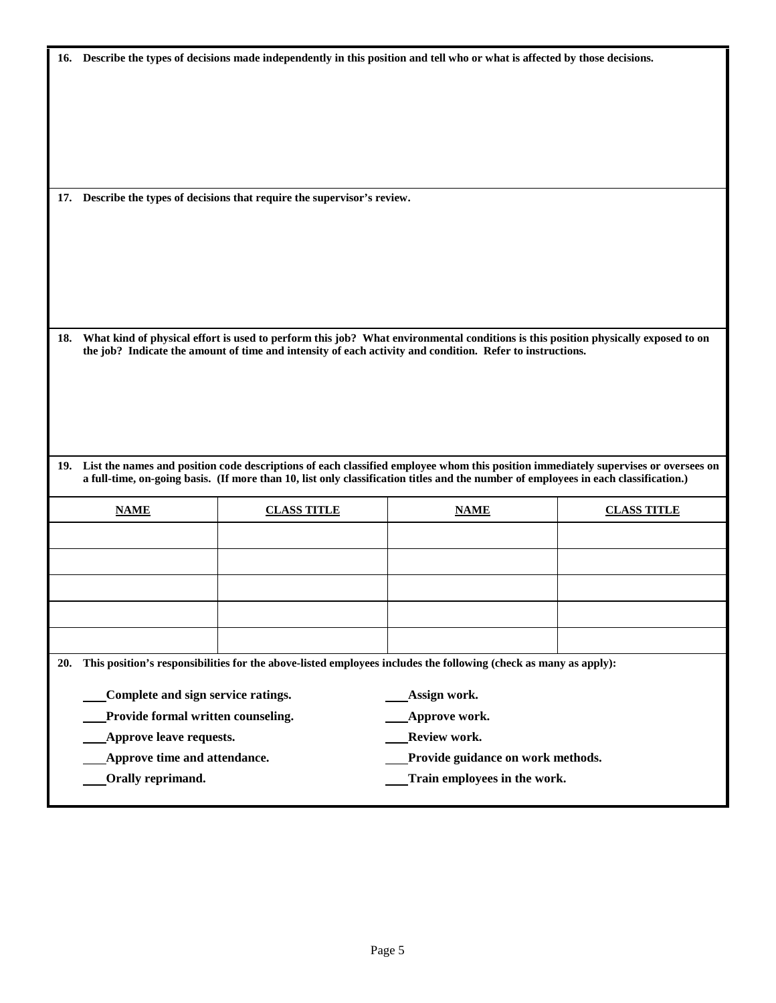|     | 16. Describe the types of decisions made independently in this position and tell who or what is affected by those decisions. |                                                                           |                                                                                                                                                                                                                                                                               |                    |
|-----|------------------------------------------------------------------------------------------------------------------------------|---------------------------------------------------------------------------|-------------------------------------------------------------------------------------------------------------------------------------------------------------------------------------------------------------------------------------------------------------------------------|--------------------|
|     |                                                                                                                              |                                                                           |                                                                                                                                                                                                                                                                               |                    |
|     |                                                                                                                              |                                                                           |                                                                                                                                                                                                                                                                               |                    |
|     |                                                                                                                              |                                                                           |                                                                                                                                                                                                                                                                               |                    |
|     |                                                                                                                              |                                                                           |                                                                                                                                                                                                                                                                               |                    |
|     |                                                                                                                              |                                                                           |                                                                                                                                                                                                                                                                               |                    |
|     |                                                                                                                              |                                                                           |                                                                                                                                                                                                                                                                               |                    |
|     |                                                                                                                              | 17. Describe the types of decisions that require the supervisor's review. |                                                                                                                                                                                                                                                                               |                    |
|     |                                                                                                                              |                                                                           |                                                                                                                                                                                                                                                                               |                    |
|     |                                                                                                                              |                                                                           |                                                                                                                                                                                                                                                                               |                    |
|     |                                                                                                                              |                                                                           |                                                                                                                                                                                                                                                                               |                    |
|     |                                                                                                                              |                                                                           |                                                                                                                                                                                                                                                                               |                    |
|     |                                                                                                                              |                                                                           |                                                                                                                                                                                                                                                                               |                    |
|     |                                                                                                                              |                                                                           |                                                                                                                                                                                                                                                                               |                    |
| 18. |                                                                                                                              |                                                                           | What kind of physical effort is used to perform this job? What environmental conditions is this position physically exposed to on                                                                                                                                             |                    |
|     |                                                                                                                              |                                                                           | the job? Indicate the amount of time and intensity of each activity and condition. Refer to instructions.                                                                                                                                                                     |                    |
|     |                                                                                                                              |                                                                           |                                                                                                                                                                                                                                                                               |                    |
|     |                                                                                                                              |                                                                           |                                                                                                                                                                                                                                                                               |                    |
|     |                                                                                                                              |                                                                           |                                                                                                                                                                                                                                                                               |                    |
|     |                                                                                                                              |                                                                           |                                                                                                                                                                                                                                                                               |                    |
|     |                                                                                                                              |                                                                           |                                                                                                                                                                                                                                                                               |                    |
|     |                                                                                                                              |                                                                           | 19. List the names and position code descriptions of each classified employee whom this position immediately supervises or oversees on<br>a full-time, on-going basis. (If more than 10, list only classification titles and the number of employees in each classification.) |                    |
|     | <b>NAME</b>                                                                                                                  | <b>CLASS TITLE</b>                                                        | <b>NAME</b>                                                                                                                                                                                                                                                                   | <b>CLASS TITLE</b> |
|     |                                                                                                                              |                                                                           |                                                                                                                                                                                                                                                                               |                    |
|     |                                                                                                                              |                                                                           |                                                                                                                                                                                                                                                                               |                    |
|     |                                                                                                                              |                                                                           |                                                                                                                                                                                                                                                                               |                    |
|     |                                                                                                                              |                                                                           |                                                                                                                                                                                                                                                                               |                    |
|     |                                                                                                                              |                                                                           |                                                                                                                                                                                                                                                                               |                    |
|     |                                                                                                                              |                                                                           |                                                                                                                                                                                                                                                                               |                    |
|     |                                                                                                                              |                                                                           |                                                                                                                                                                                                                                                                               |                    |
| 20. |                                                                                                                              |                                                                           | This position's responsibilities for the above-listed employees includes the following (check as many as apply):                                                                                                                                                              |                    |
|     | Complete and sign service ratings.                                                                                           |                                                                           | Assign work.                                                                                                                                                                                                                                                                  |                    |
|     | Provide formal written counseling.                                                                                           |                                                                           | Approve work.                                                                                                                                                                                                                                                                 |                    |
|     | Approve leave requests.                                                                                                      |                                                                           | Review work.                                                                                                                                                                                                                                                                  |                    |
|     | Approve time and attendance.                                                                                                 |                                                                           | Provide guidance on work methods.                                                                                                                                                                                                                                             |                    |
|     | Orally reprimand.                                                                                                            |                                                                           | Train employees in the work.                                                                                                                                                                                                                                                  |                    |
|     |                                                                                                                              |                                                                           |                                                                                                                                                                                                                                                                               |                    |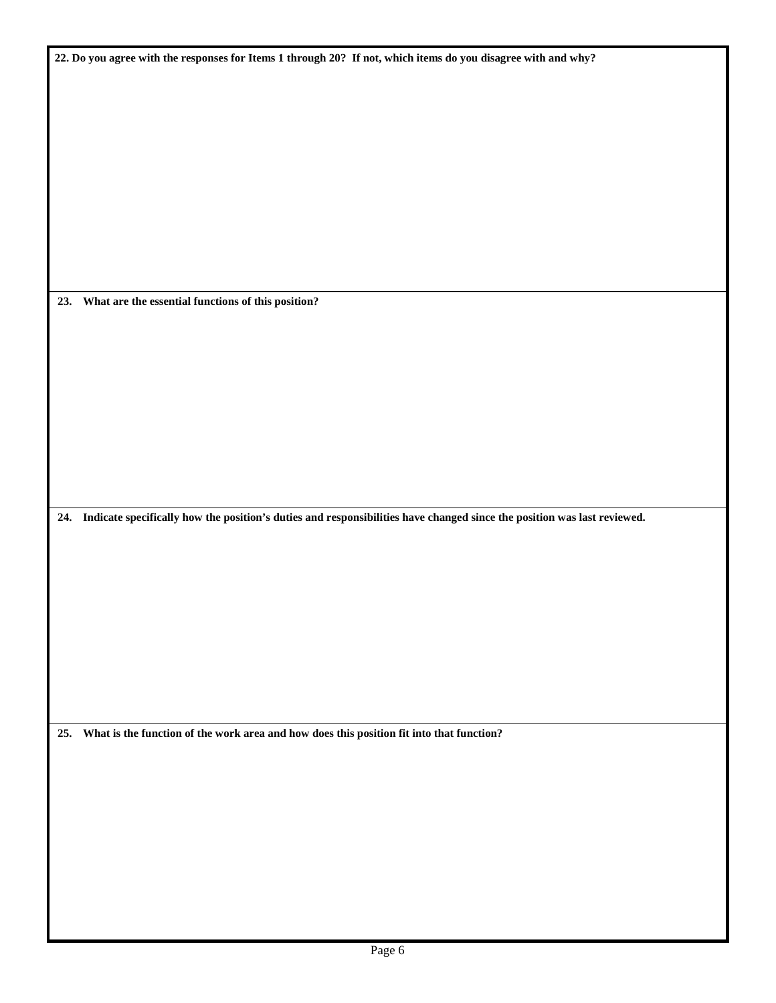| 22. Do you agree with the responses for Items 1 through 20? If not, which items do you disagree with and why?               |
|-----------------------------------------------------------------------------------------------------------------------------|
|                                                                                                                             |
|                                                                                                                             |
|                                                                                                                             |
|                                                                                                                             |
|                                                                                                                             |
|                                                                                                                             |
|                                                                                                                             |
|                                                                                                                             |
|                                                                                                                             |
|                                                                                                                             |
|                                                                                                                             |
|                                                                                                                             |
| 23. What are the essential functions of this position?                                                                      |
|                                                                                                                             |
|                                                                                                                             |
|                                                                                                                             |
|                                                                                                                             |
|                                                                                                                             |
|                                                                                                                             |
|                                                                                                                             |
|                                                                                                                             |
|                                                                                                                             |
|                                                                                                                             |
|                                                                                                                             |
| 24. Indicate specifically how the position's duties and responsibilities have changed since the position was last reviewed. |
|                                                                                                                             |
|                                                                                                                             |
|                                                                                                                             |
|                                                                                                                             |
|                                                                                                                             |
|                                                                                                                             |
|                                                                                                                             |
|                                                                                                                             |
|                                                                                                                             |
|                                                                                                                             |
|                                                                                                                             |
| 25. What is the function of the work area and how does this position fit into that function?                                |
|                                                                                                                             |
|                                                                                                                             |
|                                                                                                                             |
|                                                                                                                             |
|                                                                                                                             |
|                                                                                                                             |
|                                                                                                                             |
|                                                                                                                             |
|                                                                                                                             |